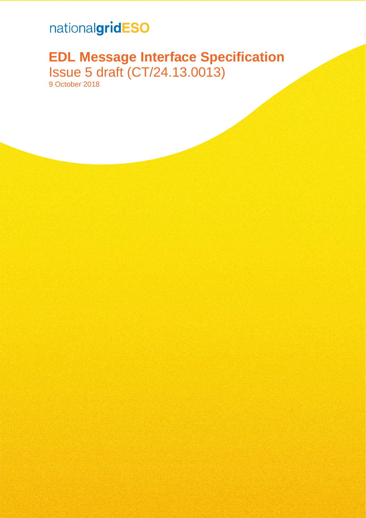# nationalgridESO

# **EDL Message Interface Specification** Issue 5 draft (CT/24.13.0013) 9 October 2018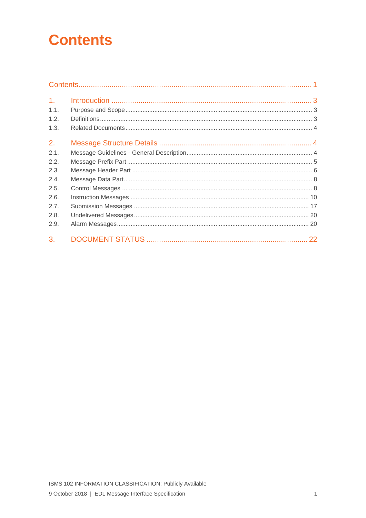# <span id="page-1-0"></span>**Contents**

| 1 <sub>1</sub> |  |
|----------------|--|
| 1.1.           |  |
| 1.2.           |  |
| 1.3.           |  |
| 2.             |  |
| 2.1.           |  |
| 2.2.           |  |
| 2.3.           |  |
| 2.4.           |  |
| 2.5.           |  |
| 2.6.           |  |
| 2.7.           |  |
| 2.8.           |  |
| 2.9.           |  |
| 3.             |  |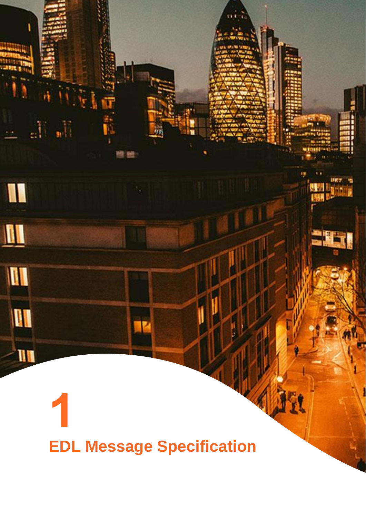# **EDL Message Specification**

 $\mathbb{R}^n$ 

I

 $\blacksquare$ 

III

I

 $\mathbf{u}$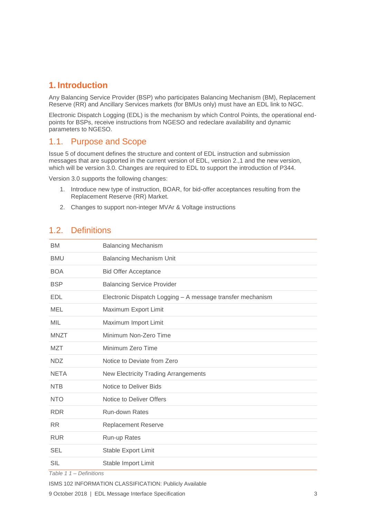### <span id="page-3-0"></span>**1. Introduction**

Any Balancing Service Provider (BSP) who participates Balancing Mechanism (BM), Replacement Reserve (RR) and Ancillary Services markets (for BMUs only) must have an EDL link to NGC.

Electronic Dispatch Logging (EDL) is the mechanism by which Control Points, the operational endpoints for BSPs, receive instructions from NGESO and redeclare availability and dynamic parameters to NGESO.

## <span id="page-3-1"></span>1.1. Purpose and Scope

Issue 5 of document defines the structure and content of EDL instruction and submission messages that are supported in the current version of EDL, version 2.,1 and the new version, which will be version 3.0. Changes are required to EDL to support the introduction of P344.

Version 3.0 supports the following changes:

- 1. Introduce new type of instruction, BOAR, for bid-offer acceptances resulting from the Replacement Reserve (RR) Market.
- 2. Changes to support non-integer MVAr & Voltage instructions

## <span id="page-3-2"></span>1.2. Definitions

| <b>BM</b>   | <b>Balancing Mechanism</b>                                 |
|-------------|------------------------------------------------------------|
| <b>BMU</b>  | <b>Balancing Mechanism Unit</b>                            |
| <b>BOA</b>  | <b>Bid Offer Acceptance</b>                                |
| <b>BSP</b>  | <b>Balancing Service Provider</b>                          |
| <b>EDL</b>  | Electronic Dispatch Logging - A message transfer mechanism |
| <b>MEL</b>  | Maximum Export Limit                                       |
| <b>MIL</b>  | Maximum Import Limit                                       |
| <b>MNZT</b> | Minimum Non-Zero Time                                      |
| <b>MZT</b>  | Minimum Zero Time                                          |
| <b>NDZ</b>  | Notice to Deviate from Zero                                |
| <b>NETA</b> | <b>New Electricity Trading Arrangements</b>                |
| <b>NTB</b>  | Notice to Deliver Bids                                     |
| <b>NTO</b>  | Notice to Deliver Offers                                   |
| <b>RDR</b>  | <b>Run-down Rates</b>                                      |
| <b>RR</b>   | <b>Replacement Reserve</b>                                 |
| <b>RUR</b>  | Run-up Rates                                               |
| <b>SEL</b>  | Stable Export Limit                                        |
| <b>SIL</b>  | Stable Import Limit                                        |

*Table 1 1 – Definitions*

<sup>9</sup> October 2018 | EDL Message Interface Specification 3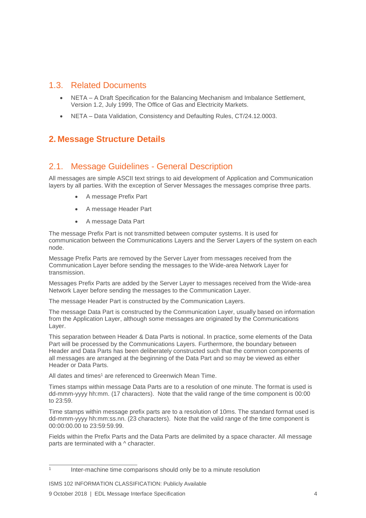## <span id="page-4-0"></span>1.3. Related Documents

- NETA A Draft Specification for the Balancing Mechanism and Imbalance Settlement, Version 1.2, July 1999, The Office of Gas and Electricity Markets.
- NETA Data Validation, Consistency and Defaulting Rules, CT/24.12.0003.

# <span id="page-4-1"></span>**2. Message Structure Details**

# <span id="page-4-2"></span>2.1. Message Guidelines - General Description

All messages are simple ASCII text strings to aid development of Application and Communication layers by all parties. With the exception of Server Messages the messages comprise three parts.

- A message Prefix Part
- A message Header Part
- A message Data Part

The message Prefix Part is not transmitted between computer systems. It is used for communication between the Communications Layers and the Server Layers of the system on each node.

Message Prefix Parts are removed by the Server Layer from messages received from the Communication Layer before sending the messages to the Wide-area Network Layer for transmission.

Messages Prefix Parts are added by the Server Layer to messages received from the Wide-area Network Layer before sending the messages to the Communication Layer.

The message Header Part is constructed by the Communication Layers.

The message Data Part is constructed by the Communication Layer, usually based on information from the Application Layer, although some messages are originated by the Communications Layer.

This separation between Header & Data Parts is notional. In practice, some elements of the Data Part will be processed by the Communications Layers. Furthermore, the boundary between Header and Data Parts has been deliberately constructed such that the common components of all messages are arranged at the beginning of the Data Part and so may be viewed as either Header or Data Parts.

All dates and times<sup>1</sup> are referenced to Greenwich Mean Time.

Times stamps within message Data Parts are to a resolution of one minute. The format is used is dd-mmm-yyyy hh:mm. (17 characters). Note that the valid range of the time component is 00:00 to 23:59.

Time stamps within message prefix parts are to a resolution of 10ms. The standard format used is dd-mmm-yyyy hh:mm:ss.nn. (23 characters). Note that the valid range of the time component is 00:00:00.00 to 23:59:59.99.

Fields within the Prefix Parts and the Data Parts are delimited by a space character. All message parts are terminated with a ^ character.

 $\frac{1}{1}$ Inter-machine time comparisons should only be to a minute resolution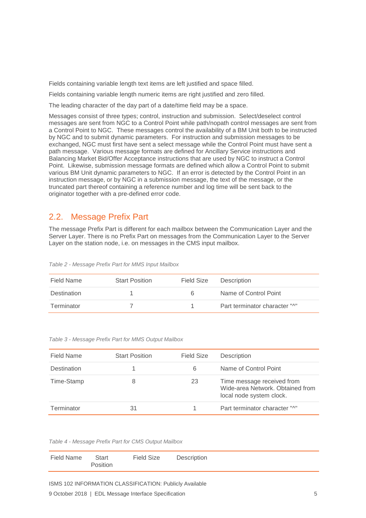Fields containing variable length text items are left justified and space filled.

Fields containing variable length numeric items are right justified and zero filled.

The leading character of the day part of a date/time field may be a space.

Messages consist of three types; control, instruction and submission. Select/deselect control messages are sent from NGC to a Control Point while path/nopath control messages are sent from a Control Point to NGC. These messages control the availability of a BM Unit both to be instructed by NGC and to submit dynamic parameters. For instruction and submission messages to be exchanged, NGC must first have sent a select message while the Control Point must have sent a path message. Various message formats are defined for Ancillary Service instructions and Balancing Market Bid/Offer Acceptance instructions that are used by NGC to instruct a Control Point. Likewise, submission message formats are defined which allow a Control Point to submit various BM Unit dynamic parameters to NGC. If an error is detected by the Control Point in an instruction message, or by NGC in a submission message, the text of the message, or the truncated part thereof containing a reference number and log time will be sent back to the originator together with a pre-defined error code.

#### <span id="page-5-0"></span>2.2. Message Prefix Part

The message Prefix Part is different for each mailbox between the Communication Layer and the Server Layer. There is no Prefix Part on messages from the Communication Layer to the Server Layer on the station node, i.e. on messages in the CMS input mailbox.

*Table 2 - Message Prefix Part for MMS Input Mailbox*

| Field Name  | <b>Start Position</b> | Field Size | Description                   |
|-------------|-----------------------|------------|-------------------------------|
| Destination |                       | 6.         | Name of Control Point         |
| Terminator  |                       |            | Part terminator character "^" |

*Table 3 - Message Prefix Part for MMS Output Mailbox*

| Field Name  | <b>Start Position</b> | Field Size | <b>Description</b>                                                                         |
|-------------|-----------------------|------------|--------------------------------------------------------------------------------------------|
| Destination |                       | 6          | Name of Control Point                                                                      |
| Time-Stamp  | 8                     | 23         | Time message received from<br>Wide-area Network. Obtained from<br>local node system clock. |
| Terminator  | 31                    |            | Part terminator character "^"                                                              |

*Table 4 - Message Prefix Part for CMS Output Mailbox*

| <b>Field Size</b><br>Field Name<br>Description<br>Start<br>Position |
|---------------------------------------------------------------------|
|---------------------------------------------------------------------|

ISMS 102 INFORMATION CLASSIFICATION: Publicly Available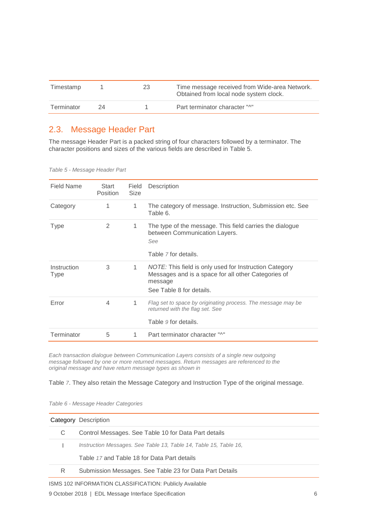| Timestamp  |    | 23 | Time message received from Wide-area Network.<br>Obtained from local node system clock. |
|------------|----|----|-----------------------------------------------------------------------------------------|
| Terminator | 24 |    | Part terminator character "^"                                                           |

# <span id="page-6-0"></span>2.3. Message Header Part

The message Header Part is a packed string of four characters followed by a terminator. The character positions and sizes of the various fields are described in [Table 5.](#page-6-1)

<span id="page-6-1"></span>

|  | Table 5 - Message Header Part |
|--|-------------------------------|
|--|-------------------------------|

| Field Name          | Start<br><b>Position</b> | Field<br><b>Size</b> | <b>Description</b>                                                                                                                                   |
|---------------------|--------------------------|----------------------|------------------------------------------------------------------------------------------------------------------------------------------------------|
| Category            | 1                        | 1                    | The category of message. Instruction, Submission etc. See<br>Table 6.                                                                                |
| Type                | 2                        | 1                    | The type of the message. This field carries the dialogue<br>between Communication Layers.<br>See<br>Table 7 for details.                             |
| Instruction<br>Type | 3                        | 1.                   | NOTE: This field is only used for Instruction Category<br>Messages and is a space for all other Categories of<br>message<br>See Table 8 for details. |
| Error               | 4                        | 1                    | Flag set to space by originating process. The message may be<br>returned with the flag set. See<br>Table 9 for details.                              |
| Terminator          | 5                        | 1.                   | Part terminator character "^"                                                                                                                        |

*Each transaction dialogue between Communication Layers consists of a single new outgoing message followed by one or more returned messages. Return messages are referenced to the original message and have return message types as shown in*

[Table](#page-7-0) *7*. They also retain the Message Category and Instruction Type of the original message.

<span id="page-6-2"></span>*Table 6 - Message Header Categories*

|    | Category Description                                              |
|----|-------------------------------------------------------------------|
| C. | Control Messages. See Table 10 for Data Part details              |
|    | Instruction Messages. See Table 13, Table 14, Table 15, Table 16, |
|    | Table 17 and Table 18 for Data Part details                       |
| R  | Submission Messages. See Table 23 for Data Part Details           |
|    |                                                                   |

ISMS 102 INFORMATION CLASSIFICATION: Publicly Available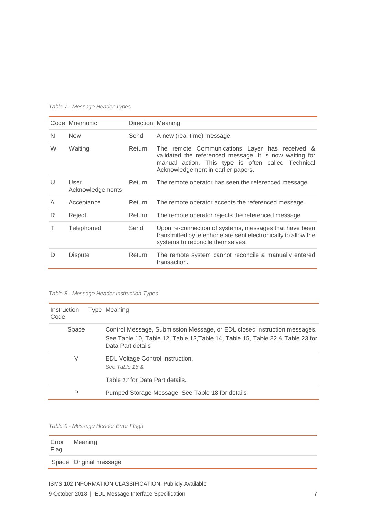|        | Code Mnemonic            |        | Direction Meaning                                                                                                                                                                                     |
|--------|--------------------------|--------|-------------------------------------------------------------------------------------------------------------------------------------------------------------------------------------------------------|
| N      | <b>New</b>               | Send   | A new (real-time) message.                                                                                                                                                                            |
| W      | Waiting                  | Return | The remote Communications Layer has received &<br>validated the referenced message. It is now waiting for<br>manual action. This type is often called Technical<br>Acknowledgement in earlier papers. |
| $\cup$ | User<br>Acknowledgements | Return | The remote operator has seen the referenced message.                                                                                                                                                  |
| A      | Acceptance               | Return | The remote operator accepts the referenced message.                                                                                                                                                   |
| R.     | Reject                   | Return | The remote operator rejects the referenced message.                                                                                                                                                   |
|        | Telephoned               | Send   | Upon re-connection of systems, messages that have been<br>transmitted by telephone are sent electronically to allow the<br>systems to reconcile themselves.                                           |
|        | <b>Dispute</b>           | Return | The remote system cannot reconcile a manually entered<br>transaction.                                                                                                                                 |

#### <span id="page-7-0"></span>*Table 7 - Message Header Types*

#### <span id="page-7-1"></span>*Table 8 - Message Header Instruction Types*

| Instruction<br>Code | Type Meaning                                                                                                                                                                   |
|---------------------|--------------------------------------------------------------------------------------------------------------------------------------------------------------------------------|
| Space               | Control Message, Submission Message, or EDL closed instruction messages.<br>See Table 10, Table 12, Table 13, Table 14, Table 15, Table 22 & Table 23 for<br>Data Part details |
| V                   | EDL Voltage Control Instruction.<br>See Table 16 &                                                                                                                             |
|                     | Table 17 for Data Part details.                                                                                                                                                |
| P                   | Pumped Storage Message. See Table 18 for details                                                                                                                               |

<span id="page-7-2"></span>*Table 9 - Message Header Error Flags*

| Flag | Error Meaning          |
|------|------------------------|
|      | Space Original message |

<sup>9</sup> October 2018 | EDL Message Interface Specification 7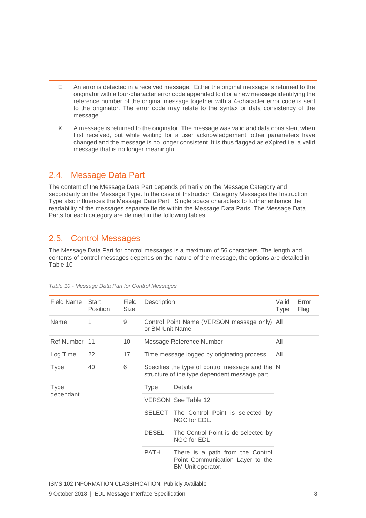- E An error is detected in a received message. Either the original message is returned to the originator with a four-character error code appended to it or a new message identifying the reference number of the original message together with a 4-character error code is sent to the originator. The error code may relate to the syntax or data consistency of the message
- X A message is returned to the originator. The message was valid and data consistent when first received, but while waiting for a user acknowledgement, other parameters have changed and the message is no longer consistent. It is thus flagged as eXpired i.e. a valid message that is no longer meaningful.

# <span id="page-8-0"></span>2.4. Message Data Part

The content of the Message Data Part depends primarily on the Message Category and secondarily on the Message Type. In the case of Instruction Category Messages the Instruction Type also influences the Message Data Part. Single space characters to further enhance the readability of the messages separate fields within the Message Data Parts. The Message Data Parts for each category are defined in the following tables.

# <span id="page-8-1"></span>2.5. Control Messages

The Message Data Part for control messages is a maximum of 56 characters. The length and contents of control messages depends on the nature of the message, the options are detailed in [Table 10](#page-8-2)

| Field Name    | Start<br>Position | Field<br><b>Size</b> | Description                                                                                      |                                                                                           | Valid<br><b>Type</b> | Error<br>Flag |
|---------------|-------------------|----------------------|--------------------------------------------------------------------------------------------------|-------------------------------------------------------------------------------------------|----------------------|---------------|
| Name          | 1                 | 9                    | Control Point Name (VERSON message only) All<br>or BM Unit Name                                  |                                                                                           |                      |               |
| Ref Number 11 |                   | 10                   | Message Reference Number                                                                         |                                                                                           | All                  |               |
| Log Time      | 22                | 17                   | Time message logged by originating process                                                       |                                                                                           | All                  |               |
| <b>Type</b>   | 40                | 6                    | Specifies the type of control message and the N<br>structure of the type dependent message part. |                                                                                           |                      |               |
| <b>Type</b>   |                   |                      | <b>Type</b>                                                                                      | Details                                                                                   |                      |               |
| dependant     |                   |                      |                                                                                                  | VERSON See Table 12                                                                       |                      |               |
|               |                   |                      | <b>SELECT</b>                                                                                    | The Control Point is selected by<br>NGC for EDL.                                          |                      |               |
|               |                   |                      | <b>DESEL</b>                                                                                     | The Control Point is de-selected by<br>NGC for EDL                                        |                      |               |
|               |                   |                      | <b>PATH</b>                                                                                      | There is a path from the Control<br>Point Communication Layer to the<br>BM Unit operator. |                      |               |

<span id="page-8-2"></span>*Table 10 - Message Data Part for Control Messages*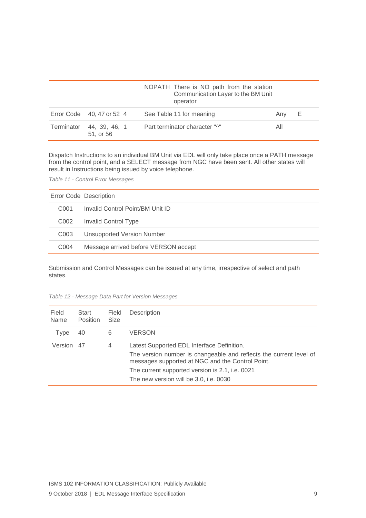|                                       | NOPATH There is NO path from the station<br>Communication Layer to the BM Unit<br>operator |     |   |
|---------------------------------------|--------------------------------------------------------------------------------------------|-----|---|
| Error Code 40, 47 or 52 4             | See Table 11 for meaning                                                                   | Anv | Е |
| Terminator 44, 39, 46, 1<br>51, or 56 | Part terminator character "^"                                                              | All |   |

Dispatch Instructions to an individual BM Unit via EDL will only take place once a PATH message from the control point, and a SELECT message from NGC have been sent. All other states will result in Instructions being issued by voice telephone.

<span id="page-9-1"></span>*Table 11 - Control Error Messages*

|                  | Error Code Description               |
|------------------|--------------------------------------|
| C <sub>001</sub> | Invalid Control Point/BM Unit ID     |
| C002             | <b>Invalid Control Type</b>          |
| C <sub>003</sub> | <b>Unsupported Version Number</b>    |
| C <sub>004</sub> | Message arrived before VERSON accept |

Submission and Control Messages can be issued at any time, irrespective of select and path states.

| Field<br>Name | Start<br><b>Position</b> | Field<br><b>Size</b> | Description                                                                                                                                                                                                                                                       |
|---------------|--------------------------|----------------------|-------------------------------------------------------------------------------------------------------------------------------------------------------------------------------------------------------------------------------------------------------------------|
| Type          | 40                       | 6                    | <b>VERSON</b>                                                                                                                                                                                                                                                     |
| Version 47    |                          | 4                    | Latest Supported EDL Interface Definition.<br>The version number is changeable and reflects the current level of<br>messages supported at NGC and the Control Point.<br>The current supported version is 2.1, i.e. 0021<br>The new version will be 3.0, i.e. 0030 |

<span id="page-9-0"></span>*Table 12 - Message Data Part for Version Messages*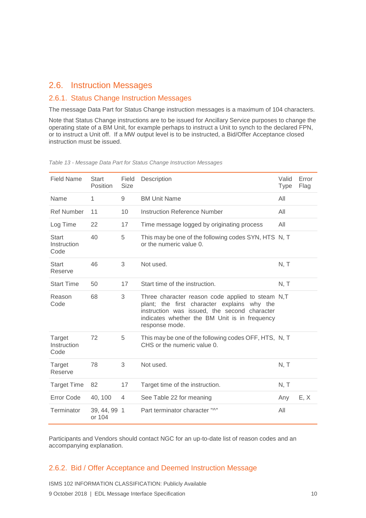#### <span id="page-10-0"></span>2.6. Instruction Messages

#### 2.6.1. Status Change Instruction Messages

The message Data Part for Status Change instruction messages is a maximum of 104 characters.

Note that Status Change instructions are to be issued for Ancillary Service purposes to change the operating state of a BM Unit, for example perhaps to instruct a Unit to synch to the declared FPN, or to instruct a Unit off. If a MW output level is to be instructed, a Bid/Offer Acceptance closed instruction must be issued.

| <b>Field Name</b>                   | Start<br>Position      | Field<br><b>Size</b> | Description                                                                                                                                                                                                        | Valid<br>Type | Error<br>Flag |
|-------------------------------------|------------------------|----------------------|--------------------------------------------------------------------------------------------------------------------------------------------------------------------------------------------------------------------|---------------|---------------|
| Name                                | 1                      | 9                    | <b>BM Unit Name</b>                                                                                                                                                                                                | All           |               |
| <b>Ref Number</b>                   | 11                     | 10                   | Instruction Reference Number                                                                                                                                                                                       | All           |               |
| Log Time                            | 22                     | 17                   | Time message logged by originating process                                                                                                                                                                         | All           |               |
| <b>Start</b><br>Instruction<br>Code | 40                     | 5                    | This may be one of the following codes SYN, HTS N, T<br>or the numeric value 0.                                                                                                                                    |               |               |
| <b>Start</b><br>Reserve             | 46                     | 3                    | Not used.                                                                                                                                                                                                          | N, T          |               |
| <b>Start Time</b>                   | 50                     | 17                   | Start time of the instruction.                                                                                                                                                                                     | N, T          |               |
| Reason<br>Code                      | 68                     | 3                    | Three character reason code applied to steam N,T<br>plant; the first character explains why the<br>instruction was issued, the second character<br>indicates whether the BM Unit is in frequency<br>response mode. |               |               |
| Target<br>Instruction<br>Code       | 72                     | 5                    | This may be one of the following codes OFF, HTS, N, T<br>CHS or the numeric value 0.                                                                                                                               |               |               |
| Target<br>Reserve                   | 78                     | 3                    | Not used.                                                                                                                                                                                                          | N, T          |               |
| <b>Target Time</b>                  | 82                     | 17                   | Target time of the instruction.                                                                                                                                                                                    | N, T          |               |
| Error Code                          | 40, 100                | 4                    | See Table 22 for meaning                                                                                                                                                                                           | Any           | E, X          |
| Terminator                          | 39, 44, 99 1<br>or 104 |                      | Part terminator character "^"                                                                                                                                                                                      | All           |               |

<span id="page-10-1"></span>*Table 13 - Message Data Part for Status Change Instruction Messages*

Participants and Vendors should contact NGC for an up-to-date list of reason codes and an accompanying explanation.

#### 2.6.2. Bid / Offer Acceptance and Deemed Instruction Message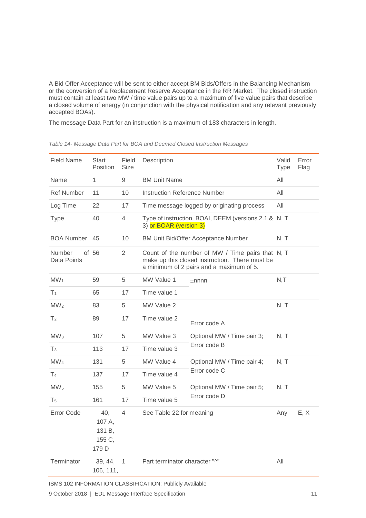A Bid Offer Acceptance will be sent to either accept BM Bids/Offers in the Balancing Mechanism or the conversion of a Replacement Reserve Acceptance in the RR Market. The closed instruction must contain at least two MW / time value pairs up to a maximum of five value pairs that describe a closed volume of energy (in conjunction with the physical notification and any relevant previously accepted BOAs).

The message Data Part for an instruction is a maximum of 183 characters in length.

| <b>Field Name</b>            | <b>Start</b><br>Position                   | Field<br><b>Size</b> | Description                                                                                                                                    |                                                      | Valid<br><b>Type</b> | Error<br>Flag |
|------------------------------|--------------------------------------------|----------------------|------------------------------------------------------------------------------------------------------------------------------------------------|------------------------------------------------------|----------------------|---------------|
| Name                         | 1                                          | 9                    | <b>BM Unit Name</b>                                                                                                                            |                                                      | All                  |               |
| <b>Ref Number</b>            | 11                                         | 10                   | <b>Instruction Reference Number</b>                                                                                                            |                                                      | All                  |               |
| Log Time                     | 22                                         | 17                   |                                                                                                                                                | Time message logged by originating process           | All                  |               |
| <b>Type</b>                  | 40                                         | 4                    | 3) or BOAR (version 3)                                                                                                                         | Type of instruction. BOAI, DEEM (versions 2.1 & N, T |                      |               |
| <b>BOA Number</b>            | 45                                         | 10                   |                                                                                                                                                | <b>BM Unit Bid/Offer Acceptance Number</b>           | N, T                 |               |
| <b>Number</b><br>Data Points | of 56                                      | 2                    | Count of the number of MW / Time pairs that N, T<br>make up this closed instruction. There must be<br>a minimum of 2 pairs and a maximum of 5. |                                                      |                      |               |
| MW <sub>1</sub>              | 59                                         | 5                    | MW Value 1<br>$\pm$ nnnn                                                                                                                       |                                                      | N, T                 |               |
| T <sub>1</sub>               | 65                                         | 17                   | Time value 1                                                                                                                                   |                                                      |                      |               |
| MW <sub>2</sub>              | 83                                         | 5                    | MW Value 2                                                                                                                                     |                                                      | N, T                 |               |
| T <sub>2</sub>               | 89                                         | 17                   | Time value 2                                                                                                                                   | Error code A                                         |                      |               |
| MW <sub>3</sub>              | 107                                        | 5                    | MW Value 3                                                                                                                                     | Optional MW / Time pair 3;                           | N, T                 |               |
| $T_3$                        | 113                                        | 17                   | Time value 3                                                                                                                                   | Error code B                                         |                      |               |
| MW <sub>4</sub>              | 131                                        | 5                    | MW Value 4                                                                                                                                     | Optional MW / Time pair 4;                           | N, T                 |               |
| T <sub>4</sub>               | 137                                        | 17                   | Time value 4                                                                                                                                   | Error code C                                         |                      |               |
| MW <sub>5</sub>              | 155                                        | 5                    | MW Value 5                                                                                                                                     | Optional MW / Time pair 5;                           | N, T                 |               |
| T <sub>5</sub>               | 161                                        | 17                   | Time value 5                                                                                                                                   | Error code D                                         |                      |               |
| <b>Error Code</b>            | 40,<br>107 A,<br>131 B,<br>155 C,<br>179 D | $\overline{4}$       | See Table 22 for meaning                                                                                                                       |                                                      | Any                  | E, X          |
| Terminator                   | 39, 44,<br>106, 111,                       | $\mathbf{1}$         | Part terminator character "^"                                                                                                                  |                                                      | All                  |               |

<span id="page-11-0"></span>*Table 14- Message Data Part for BOA and Deemed Closed Instruction Messages*

ISMS 102 INFORMATION CLASSIFICATION: Publicly Available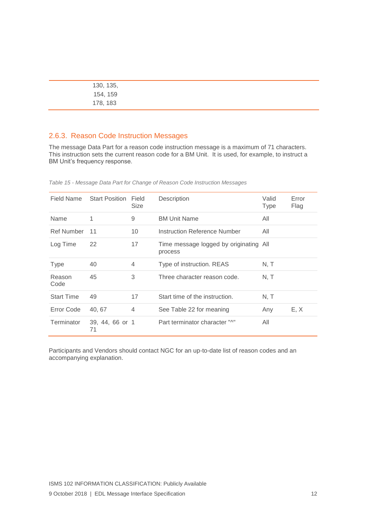| 130, 135, |  |
|-----------|--|
| 154, 159  |  |
| 178, 183  |  |

#### 2.6.3. Reason Code Instruction Messages

The message Data Part for a reason code instruction message is a maximum of 71 characters. This instruction sets the current reason code for a BM Unit. It is used, for example, to instruct a BM Unit's frequency response.

| Field Name        | <b>Start Position</b> | Field<br><b>Size</b> | Description                                       | Valid<br>Type | Error<br>Flag |
|-------------------|-----------------------|----------------------|---------------------------------------------------|---------------|---------------|
| Name              | 1                     | 9                    | <b>BM Unit Name</b>                               | All           |               |
| <b>Ref Number</b> | 11                    | 10                   | Instruction Reference Number                      | All           |               |
| Log Time          | 22                    | 17                   | Time message logged by originating All<br>process |               |               |
| Type              | 40                    | $\overline{4}$       | Type of instruction. REAS                         | N, T          |               |
| Reason<br>Code    | 45                    | 3                    | Three character reason code.                      | N. T          |               |
| <b>Start Time</b> | 49                    | 17                   | Start time of the instruction.                    | N, T          |               |
| Error Code        | 40, 67                | $\overline{4}$       | See Table 22 for meaning                          | Any           | E, X          |
| Terminator        | 39, 44, 66 or 1<br>71 |                      | Part terminator character "^"                     | All           |               |

<span id="page-12-0"></span>*Table 15 - Message Data Part for Change of Reason Code Instruction Messages*

Participants and Vendors should contact NGC for an up-to-date list of reason codes and an accompanying explanation.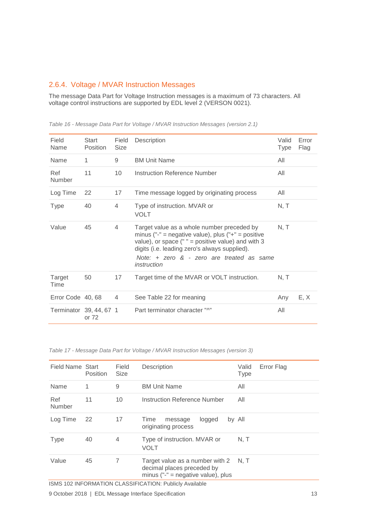#### 2.6.4. Voltage / MVAR Instruction Messages

The message Data Part for Voltage Instruction messages is a maximum of 73 characters. All voltage control instructions are supported by EDL level 2 (VERSON 0021).

| Field<br>Name           | Start<br><b>Position</b> | Field<br><b>Size</b> | Description                                                                                                                                                                                                                                                          | Valid<br><b>Type</b> | Error<br>Flag |
|-------------------------|--------------------------|----------------------|----------------------------------------------------------------------------------------------------------------------------------------------------------------------------------------------------------------------------------------------------------------------|----------------------|---------------|
| Name                    | 1                        | 9                    | <b>BM Unit Name</b>                                                                                                                                                                                                                                                  | All                  |               |
| Ref<br>Number           | 11                       | 10                   | Instruction Reference Number                                                                                                                                                                                                                                         | All                  |               |
| Log Time                | 22                       | 17                   | Time message logged by originating process                                                                                                                                                                                                                           | All                  |               |
| <b>Type</b>             | 40                       | 4                    | Type of instruction. MVAR or<br><b>VOLT</b>                                                                                                                                                                                                                          | N, T                 |               |
| Value                   | 45                       | 4                    | Target value as a whole number preceded by<br>minus ("-" = negative value), plus ("+" = positive<br>value), or space ( $" =$ positive value) and with 3<br>digits (i.e. leading zero's always supplied).<br>Note: + zero & - zero are treated as same<br>instruction | N, T                 |               |
| Target<br>Time          | 50                       | 17                   | Target time of the MVAR or VOLT instruction.                                                                                                                                                                                                                         | N, T                 |               |
| Error Code 40, 68       |                          | $\overline{4}$       | See Table 22 for meaning                                                                                                                                                                                                                                             | Any                  | E, X          |
| Terminator 39, 44, 67 1 | or 72                    |                      | Part terminator character "^"                                                                                                                                                                                                                                        | All                  |               |

<span id="page-13-0"></span>*Table 16 - Message Data Part for Voltage / MVAR Instruction Messages (version 2.1)*

<span id="page-13-1"></span>*Table 17 - Message Data Part for Voltage / MVAR Instruction Messages (version 3)*

| Field Name Start | <b>Position</b> | Field<br>Size  | Description                                                                                             | Valid<br><b>Type</b> | Error Flag |
|------------------|-----------------|----------------|---------------------------------------------------------------------------------------------------------|----------------------|------------|
| Name             | 1               | 9              | <b>BM Unit Name</b>                                                                                     | All                  |            |
| Ref<br>Number    | 11              | 10             | Instruction Reference Number                                                                            | All                  |            |
| Log Time         | 22              | 17             | logged<br>Time<br>message<br>originating process                                                        | by All               |            |
| <b>Type</b>      | 40              | $\overline{4}$ | Type of instruction. MVAR or<br><b>VOLT</b>                                                             | N. T                 |            |
| Value            | 45              | 7              | Target value as a number with 2<br>decimal places preceded by<br>minus (" $-$ " = negative value), plus | N. T                 |            |

ISMS 102 INFORMATION CLASSIFICATION: Publicly Available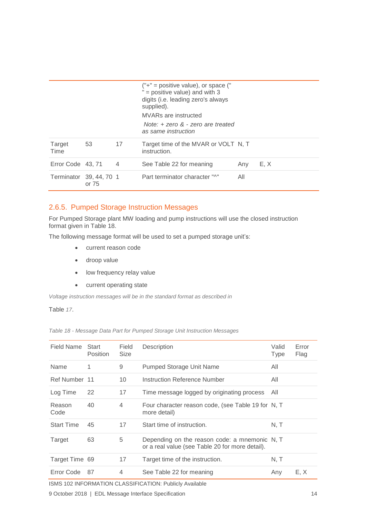|                         |                |    | $("+" = positive value)$ , or space $("$<br>" = positive value) and with $3$<br>digits (i.e. leading zero's always<br>supplied).<br>MVARs are instructed<br>Note: $+$ zero $\&$ - zero are treated<br>as same instruction |     |      |
|-------------------------|----------------|----|---------------------------------------------------------------------------------------------------------------------------------------------------------------------------------------------------------------------------|-----|------|
| Target<br>Time          | 53             | 17 | Target time of the MVAR or VOLT N, T<br>instruction.                                                                                                                                                                      |     |      |
| Error Code 43, 71       | $\overline{4}$ |    | See Table 22 for meaning                                                                                                                                                                                                  | Any | E, X |
| Terminator 39, 44, 70 1 | or 75          |    | Part terminator character "^"                                                                                                                                                                                             | All |      |

#### 2.6.5. Pumped Storage Instruction Messages

For Pumped Storage plant MW loading and pump instructions will use the closed instruction format given in [Table 18.](#page-14-0)

The following message format will be used to set a pumped storage unit's:

- current reason code
- droop value
- low frequency relay value
- current operating state

*Voltage instruction messages will be in the standard format as described in*

[Table](#page-13-1) *17*.

<span id="page-14-0"></span>*Table 18 - Message Data Part for Pumped Storage Unit Instruction Messages*

| Field Name        | Start<br>Position | Field<br><b>Size</b> | Description                                                                                      | Valid<br><b>Type</b> | Error<br>Flag |
|-------------------|-------------------|----------------------|--------------------------------------------------------------------------------------------------|----------------------|---------------|
| Name              | 1                 | 9                    | Pumped Storage Unit Name                                                                         | All                  |               |
| Ref Number 11     |                   | 10                   | Instruction Reference Number                                                                     | All                  |               |
| Log Time          | 22                | 17                   | Time message logged by originating process                                                       | All                  |               |
| Reason<br>Code    | 40                | 4                    | Four character reason code, (see Table 19 for N, T<br>more detail)                               |                      |               |
| <b>Start Time</b> | 45                | 17                   | Start time of instruction.                                                                       | N, T                 |               |
| Target            | 63                | 5                    | Depending on the reason code: a mnemonic N, T<br>or a real value (see Table 20 for more detail). |                      |               |
| Target Time 69    |                   | 17                   | Target time of the instruction.                                                                  | N, T                 |               |
| Error Code        | 87                | 4                    | See Table 22 for meaning                                                                         | Any                  | E, X          |

ISMS 102 INFORMATION CLASSIFICATION: Publicly Available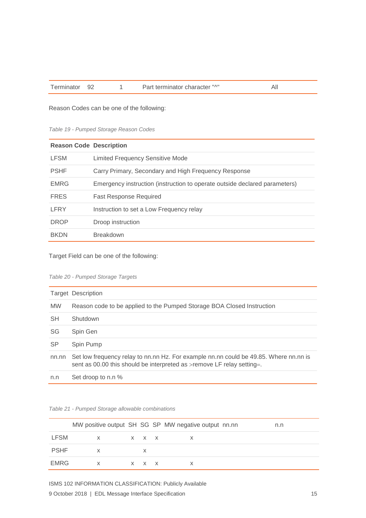Terminator 92 1 Part terminator character "^" All

Reason Codes can be one of the following:

<span id="page-15-0"></span>*Table 19 - Pumped Storage Reason Codes*

| <b>Reason Code Description</b> |                                                                            |
|--------------------------------|----------------------------------------------------------------------------|
| LFSM                           | <b>Limited Frequency Sensitive Mode</b>                                    |
| <b>PSHF</b>                    | Carry Primary, Secondary and High Frequency Response                       |
| <b>EMRG</b>                    | Emergency instruction (instruction to operate outside declared parameters) |
| <b>FRES</b>                    | <b>Fast Response Required</b>                                              |
| LFRY                           | Instruction to set a Low Frequency relay                                   |
| <b>DROP</b>                    | Droop instruction                                                          |
| <b>BKDN</b>                    | <b>Breakdown</b>                                                           |

Target Field can be one of the following:

#### <span id="page-15-1"></span>*Table 20 - Pumped Storage Targets*

|           | Target Description                                                                                                                                              |
|-----------|-----------------------------------------------------------------------------------------------------------------------------------------------------------------|
| <b>MW</b> | Reason code to be applied to the Pumped Storage BOA Closed Instruction                                                                                          |
| <b>SH</b> | Shutdown                                                                                                                                                        |
| SG        | Spin Gen                                                                                                                                                        |
| <b>SP</b> | Spin Pump                                                                                                                                                       |
| nn.nn     | Set low frequency relay to nn.nn Hz. For example nn.nn could be 49.85. Where nn.nn is<br>sent as 00.00 this should be interpreted as >remove LF relay setting=. |
| n.n       | Set droop to n.n %                                                                                                                                              |

#### *Table 21 - Pumped Storage allowable combinations*

|             |              |                            | MW positive output SH SG SP MW negative output nn.nn | n.n |
|-------------|--------------|----------------------------|------------------------------------------------------|-----|
| <b>LFSM</b> | $\mathsf{X}$ | $\times$ $\times$ $\times$ |                                                      |     |
| <b>PSHF</b> | X            | X                          |                                                      |     |
| EMRG        | X            | x x x                      |                                                      |     |

ISMS 102 INFORMATION CLASSIFICATION: Publicly Available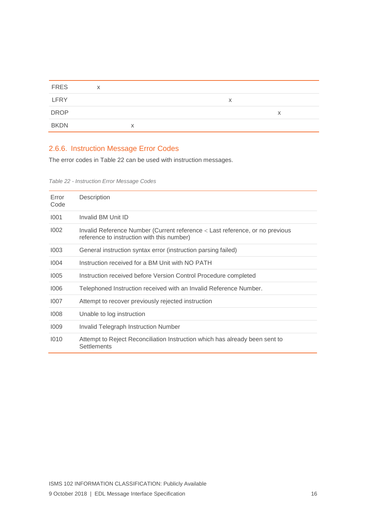| <b>FRES</b> | X |   |   |   |
|-------------|---|---|---|---|
| LFRY        |   |   | X |   |
| <b>DROP</b> |   |   |   | X |
| <b>BKDN</b> |   | x |   |   |

# 2.6.6. Instruction Message Error Codes

The error codes in [Table 22](#page-16-0) can be used with instruction messages.

<span id="page-16-0"></span>*Table 22 - Instruction Error Message Codes*

| Error<br>Code | Description                                                                                                                |
|---------------|----------------------------------------------------------------------------------------------------------------------------|
| 1001          | Invalid BM Unit ID                                                                                                         |
| 1002          | Invalid Reference Number (Current reference < Last reference, or no previous<br>reference to instruction with this number) |
| 1003          | General instruction syntax error (instruction parsing failed)                                                              |
| 1004          | Instruction received for a BM Unit with NO PATH                                                                            |
| 1005          | Instruction received before Version Control Procedure completed                                                            |
| 1006          | Telephoned Instruction received with an Invalid Reference Number.                                                          |
| 1007          | Attempt to recover previously rejected instruction                                                                         |
| 1008          | Unable to log instruction                                                                                                  |
| 1009          | Invalid Telegraph Instruction Number                                                                                       |
| 1010          | Attempt to Reject Reconciliation Instruction which has already been sent to<br>Settlements                                 |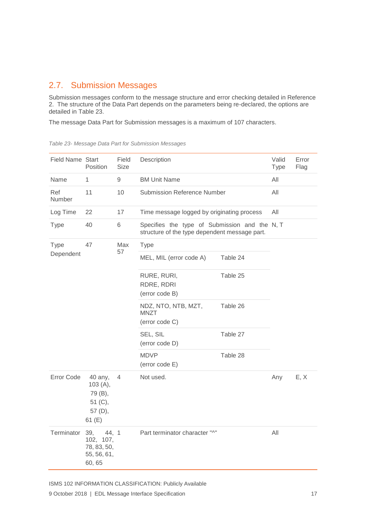# <span id="page-17-0"></span>2.7. Submission Messages

Submission messages conform to the message structure and error checking detailed in Reference 2. The structure of the Data Part depends on the parameters being re-declared, the options are detailed in [Table 23.](#page-17-1)

The message Data Part for Submission messages is a maximum of 107 characters.

| <b>Field Name Start</b> | Position                                                          | Field<br><b>Size</b> | Description                                                                                    |          | Valid<br><b>Type</b> | Error<br>Flag |
|-------------------------|-------------------------------------------------------------------|----------------------|------------------------------------------------------------------------------------------------|----------|----------------------|---------------|
| Name                    | 1                                                                 | $\hbox{9}$           | <b>BM Unit Name</b>                                                                            | All      |                      |               |
| Ref<br>Number           | 11                                                                | 10                   | <b>Submission Reference Number</b>                                                             |          | All                  |               |
| Log Time                | 22                                                                | 17                   | Time message logged by originating process                                                     |          | All                  |               |
| <b>Type</b>             | 40                                                                | 6                    | Specifies the type of Submission and the N, T<br>structure of the type dependent message part. |          |                      |               |
| <b>Type</b>             | 47                                                                | Max                  | Type                                                                                           |          |                      |               |
| Dependent               |                                                                   | 57                   | MEL, MIL (error code A)                                                                        | Table 24 |                      |               |
|                         |                                                                   |                      | RURE, RURI,<br>RDRE, RDRI<br>(error code B)                                                    | Table 25 |                      |               |
|                         |                                                                   |                      | NDZ, NTO, NTB, MZT,<br><b>MNZT</b><br>(error code C)                                           | Table 26 |                      |               |
|                         |                                                                   |                      | SEL, SIL<br>(error code D)                                                                     | Table 27 |                      |               |
|                         |                                                                   |                      | <b>MDVP</b><br>(error code E)                                                                  | Table 28 |                      |               |
| Error Code              | 40 any,<br>103(A),<br>79 (B),<br>51 (C),<br>57 (D),<br>61 $(E)$   | 4                    | Not used.                                                                                      |          | Any                  | E, X          |
| Terminator              | 44, 1<br>39,<br>102, 107,<br>78, 83, 50,<br>55, 56, 61,<br>60, 65 |                      | Part terminator character "^"                                                                  |          | All                  |               |

<span id="page-17-1"></span>*Table 23- Message Data Part for Submission Messages*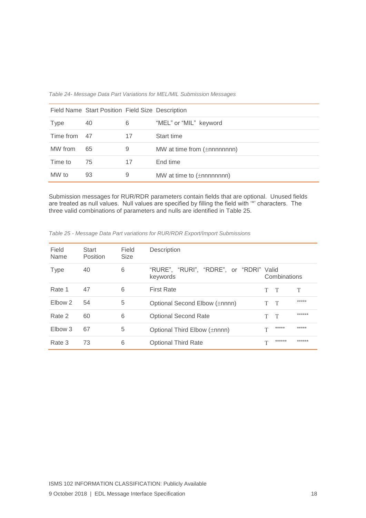<span id="page-18-0"></span>*Table 24- Message Data Part Variations for MEL/MIL Submission Messages*

|              | Field Name Start Position Field Size Description |    |                                  |
|--------------|--------------------------------------------------|----|----------------------------------|
| <b>Type</b>  | 40                                               | 6  | "MEL" or "MIL" keyword           |
| Time from 47 |                                                  | 17 | Start time                       |
| MW from      | 65                                               | 9  | MW at time from $(\pm$ nnnnnnnn) |
| Time to      | -75                                              | 17 | End time                         |
| MW to        | 93                                               | 9  | MW at time to $(\pm$ nnnnnnnn)   |

Submission messages for RUR/RDR parameters contain fields that are optional. Unused fields are treated as null values. Null values are specified by filling the field with '\*' characters. The three valid combinations of parameters and nulls are identified in [Table 25.](#page-18-1)

| Field<br>Name | Start<br>Position | Field<br><b>Size</b> | Description                                         |              |              |        |
|---------------|-------------------|----------------------|-----------------------------------------------------|--------------|--------------|--------|
| <b>Type</b>   | 40                | 6                    | "RURE", "RURI", "RDRE", or "RDRI" Valid<br>keywords |              | Combinations |        |
| Rate 1        | 47                | 6                    | <b>First Rate</b>                                   | T            | $\top$       | T      |
| Elbow 2       | 54                | 5                    | Optional Second Elbow (±nnnn)                       | T.           | $\top$       | *****  |
| Rate 2        | 60                | 6                    | <b>Optional Second Rate</b>                         | T            | $\top$       | ****** |
| Elbow 3       | 67                | 5                    | Optional Third Elbow (±nnnn)                        | T            | *****        | *****  |
| Rate 3        | 73                | 6                    | <b>Optional Third Rate</b>                          | $\mathbf{T}$ | ******       | ****** |

<span id="page-18-1"></span>*Table 25 - Message Data Part variations for RUR/RDR Export/Import Submissions*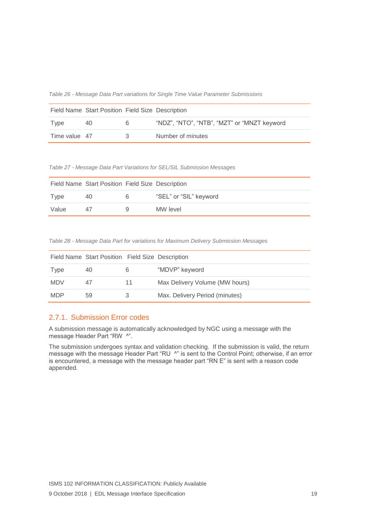<span id="page-19-0"></span>*Table 26 - Message Data Part variations for Single Time Value Parameter Submissions*

|               | Field Name Start Position Field Size Description |   |                                             |
|---------------|--------------------------------------------------|---|---------------------------------------------|
| <b>I</b> vpe  | 40                                               | 6 | "NDZ", "NTO", "NTB", "MZT" or "MNZT keyword |
| Time value 47 |                                                  | 3 | Number of minutes                           |

<span id="page-19-1"></span>*Table 27 - Message Data Part Variations for SEL/SIL Submission Messages*

|       | Field Name Start Position Field Size Description |   |                        |
|-------|--------------------------------------------------|---|------------------------|
| Type  | 40                                               | 6 | "SEL" or "SIL" keyword |
| Value | $\Delta$ /                                       | ч | MW level               |

<span id="page-19-2"></span>*Table 28 - Message Data Part for variations for Maximum Delivery Submission Messages*

|            | Field Name Start Position Field Size Description |    |                                |
|------------|--------------------------------------------------|----|--------------------------------|
| Type       | 40                                               | 6  | "MDVP" keyword                 |
| <b>MDV</b> |                                                  | 11 | Max Delivery Volume (MW hours) |
| <b>MDP</b> | 59                                               |    | Max. Delivery Period (minutes) |

#### 2.7.1. Submission Error codes

A submission message is automatically acknowledged by NGC using a message with the message Header Part "RW ^".

The submission undergoes syntax and validation checking. If the submission is valid, the return message with the message Header Part "RU ^" is sent to the Control Point; otherwise, if an error is encountered, a message with the message header part "RN E" is sent with a reason code appended.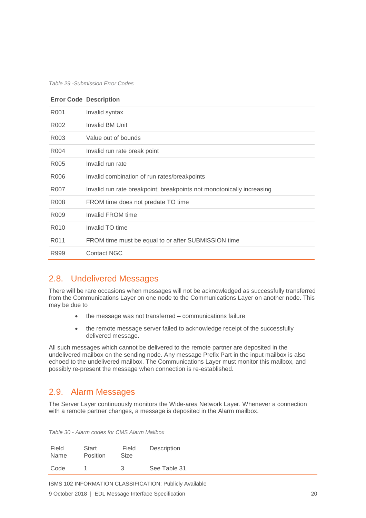*Table 29 -Submission Error Codes*

|                  | <b>Error Code Description</b>                                         |
|------------------|-----------------------------------------------------------------------|
| R <sub>001</sub> | Invalid syntax                                                        |
| R <sub>002</sub> | <b>Invalid BM Unit</b>                                                |
| R <sub>003</sub> | Value out of bounds                                                   |
| R <sub>004</sub> | Invalid run rate break point                                          |
| R <sub>005</sub> | Invalid run rate                                                      |
| R006             | Invalid combination of run rates/breakpoints                          |
| R007             | Invalid run rate breakpoint; breakpoints not monotonically increasing |
| R <sub>008</sub> | FROM time does not predate TO time                                    |
| R <sub>009</sub> | Invalid FROM time                                                     |
| R010             | Invalid TO time                                                       |
| R011             | FROM time must be equal to or after SUBMISSION time                   |
| R999             | <b>Contact NGC</b>                                                    |

#### <span id="page-20-0"></span>2.8. Undelivered Messages

There will be rare occasions when messages will not be acknowledged as successfully transferred from the Communications Layer on one node to the Communications Layer on another node. This may be due to

- the message was not transferred communications failure
- the remote message server failed to acknowledge receipt of the successfully delivered message.

All such messages which cannot be delivered to the remote partner are deposited in the undelivered mailbox on the sending node. Any message Prefix Part in the input mailbox is also echoed to the undelivered mailbox. The Communications Layer must monitor this mailbox, and possibly re-present the message when connection is re-established.

#### <span id="page-20-1"></span>2.9. Alarm Messages

The Server Layer continuously monitors the Wide-area Network Layer. Whenever a connection with a remote partner changes, a message is deposited in the Alarm mailbox.

| Field | Start    | Field       | Description   |  |
|-------|----------|-------------|---------------|--|
| Name  | Position | <b>Size</b> |               |  |
| Code  |          | 2           | See Table 31. |  |

*Table 30 - Alarm codes for CMS Alarm Mailbox*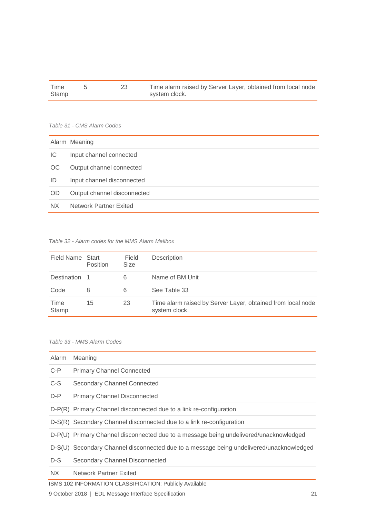| Time  |  | Time alarm raised by Server Layer, obtained from local node |
|-------|--|-------------------------------------------------------------|
| Stamp |  | system clock.                                               |

#### <span id="page-21-0"></span>*Table 31 - CMS Alarm Codes*

|           | Alarm Meaning                 |
|-----------|-------------------------------|
| IC        | Input channel connected       |
| OC.       | Output channel connected      |
| ID        | Input channel disconnected    |
| <b>OD</b> | Output channel disconnected   |
| NX.       | <b>Network Partner Exited</b> |

#### *Table 32 - Alarm codes for the MMS Alarm Mailbox*

| Field Name Start | Position | Field<br><b>Size</b> | Description                                                                  |  |
|------------------|----------|----------------------|------------------------------------------------------------------------------|--|
| Destination 1    |          | 6                    | Name of BM Unit                                                              |  |
| Code             | 8        | 6                    | See Table 33                                                                 |  |
| Time<br>Stamp    | 15       | 23                   | Time alarm raised by Server Layer, obtained from local node<br>system clock. |  |

#### <span id="page-21-1"></span>*Table 33 - MMS Alarm Codes*

| Alarm   | Meaning                                                                                 |
|---------|-----------------------------------------------------------------------------------------|
| $C-P$   | <b>Primary Channel Connected</b>                                                        |
| C-S     | Secondary Channel Connected                                                             |
| $D - P$ | <b>Primary Channel Disconnected</b>                                                     |
|         | D-P(R) Primary Channel disconnected due to a link re-configuration                      |
|         | D-S(R) Secondary Channel disconnected due to a link re-configuration                    |
|         | D-P(U) Primary Channel disconnected due to a message being undelivered/unacknowledged   |
|         | D-S(U) Secondary Channel disconnected due to a message being undelivered/unacknowledged |
| D-S     | Secondary Channel Disconnected                                                          |
| NX.     | <b>Network Partner Exited</b>                                                           |
|         | ISMS 102 INFORMATION CLASSIFICATION: Publicly Available                                 |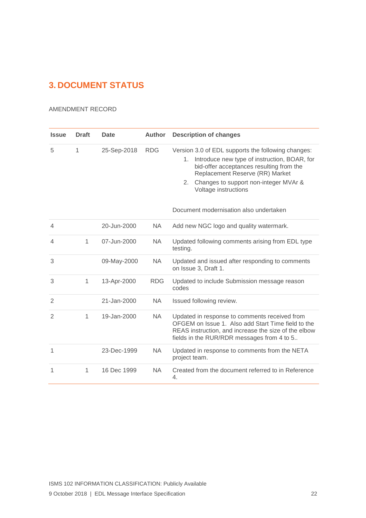# <span id="page-22-0"></span>**3. DOCUMENT STATUS**

#### AMENDMENT RECORD

| <b>Issue</b>   | <b>Draft</b> | <b>Date</b> | <b>Author</b> | <b>Description of changes</b>                                                                                                                                                                                                                                  |
|----------------|--------------|-------------|---------------|----------------------------------------------------------------------------------------------------------------------------------------------------------------------------------------------------------------------------------------------------------------|
| 5              | 1            | 25-Sep-2018 | <b>RDG</b>    | Version 3.0 of EDL supports the following changes:<br>Introduce new type of instruction, BOAR, for<br>1.<br>bid-offer acceptances resulting from the<br>Replacement Reserve (RR) Market<br>Changes to support non-integer MVAr &<br>2.<br>Voltage instructions |
|                |              |             |               | Document modernisation also undertaken                                                                                                                                                                                                                         |
| $\overline{4}$ |              | 20-Jun-2000 | <b>NA</b>     | Add new NGC logo and quality watermark.                                                                                                                                                                                                                        |
| $\overline{4}$ | 1            | 07-Jun-2000 | <b>NA</b>     | Updated following comments arising from EDL type<br>testing.                                                                                                                                                                                                   |
| 3              |              | 09-May-2000 | <b>NA</b>     | Updated and issued after responding to comments<br>on Issue 3, Draft 1.                                                                                                                                                                                        |
| 3              | 1            | 13-Apr-2000 | <b>RDG</b>    | Updated to include Submission message reason<br>codes                                                                                                                                                                                                          |
| 2              |              | 21-Jan-2000 | NA            | Issued following review.                                                                                                                                                                                                                                       |
| $\mathfrak{D}$ | 1            | 19-Jan-2000 | NA            | Updated in response to comments received from<br>OFGEM on Issue 1. Also add Start Time field to the<br>REAS instruction, and increase the size of the elbow<br>fields in the RUR/RDR messages from 4 to 5                                                      |
| 1              |              | 23-Dec-1999 | <b>NA</b>     | Updated in response to comments from the NETA<br>project team.                                                                                                                                                                                                 |
| 1              | 1            | 16 Dec 1999 | <b>NA</b>     | Created from the document referred to in Reference<br>4.                                                                                                                                                                                                       |